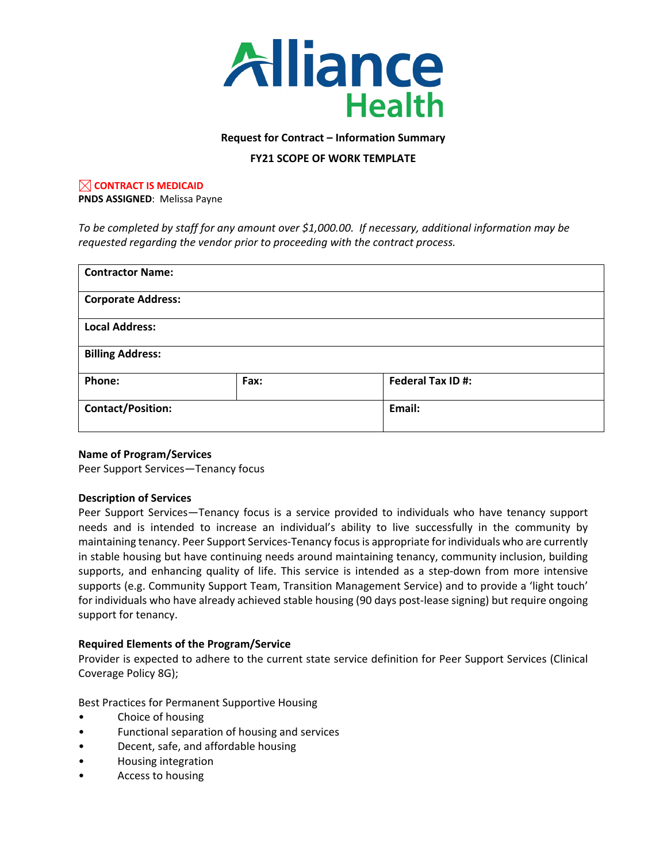

#### **Request for Contract – Information Summary**

### **FY21 SCOPE OF WORK TEMPLATE**

# **CONTRACT IS MEDICAID**

**PNDS ASSIGNED**: Melissa Payne

*To be completed by staff for any amount over \$1,000.00. If necessary, additional information may be requested regarding the vendor prior to proceeding with the contract process.*

| <b>Contractor Name:</b>   |      |                  |  |
|---------------------------|------|------------------|--|
| <b>Corporate Address:</b> |      |                  |  |
| <b>Local Address:</b>     |      |                  |  |
| <b>Billing Address:</b>   |      |                  |  |
| Phone:                    | Fax: | Federal Tax ID#: |  |
| <b>Contact/Position:</b>  |      | Email:           |  |

#### **Name of Program/Services**

Peer Support Services—Tenancy focus

#### **Description of Services**

Peer Support Services—Tenancy focus is a service provided to individuals who have tenancy support needs and is intended to increase an individual's ability to live successfully in the community by maintaining tenancy. Peer Support Services-Tenancy focus is appropriate for individuals who are currently in stable housing but have continuing needs around maintaining tenancy, community inclusion, building supports, and enhancing quality of life. This service is intended as a step-down from more intensive supports (e.g. Community Support Team, Transition Management Service) and to provide a 'light touch' for individuals who have already achieved stable housing (90 days post-lease signing) but require ongoing support for tenancy.

### **Required Elements of the Program/Service**

Provider is expected to adhere to the current state service definition for Peer Support Services (Clinical Coverage Policy 8G);

Best Practices for Permanent Supportive Housing

- Choice of housing
- Functional separation of housing and services
- Decent, safe, and affordable housing
- Housing integration
- Access to housing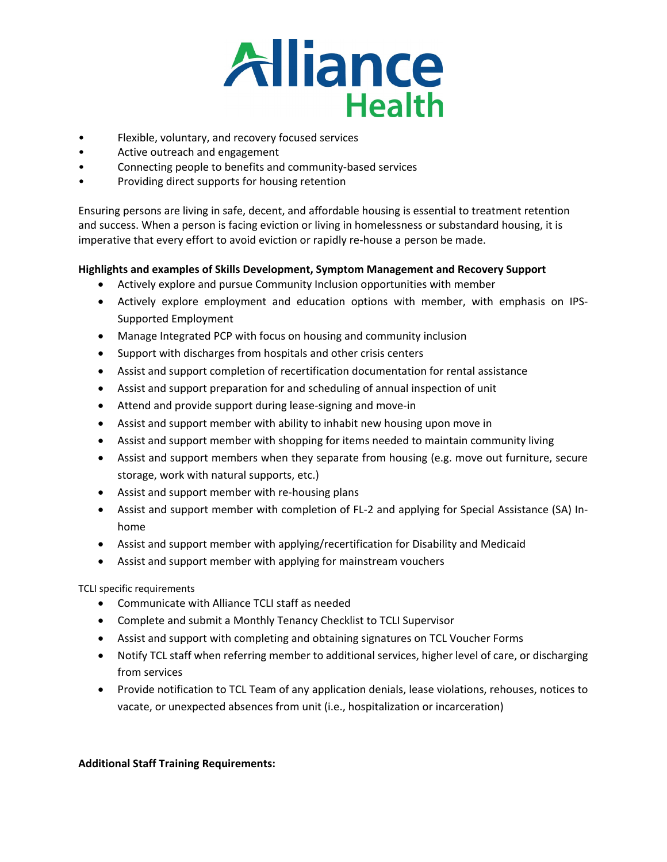

- Flexible, voluntary, and recovery focused services
- Active outreach and engagement
- Connecting people to benefits and community-based services
- Providing direct supports for housing retention

Ensuring persons are living in safe, decent, and affordable housing is essential to treatment retention and success. When a person is facing eviction or living in homelessness or substandard housing, it is imperative that every effort to avoid eviction or rapidly re-house a person be made.

## **Highlights and examples of Skills Development, Symptom Management and Recovery Support**

- Actively explore and pursue Community Inclusion opportunities with member
- Actively explore employment and education options with member, with emphasis on IPS-Supported Employment
- Manage Integrated PCP with focus on housing and community inclusion
- Support with discharges from hospitals and other crisis centers
- Assist and support completion of recertification documentation for rental assistance
- Assist and support preparation for and scheduling of annual inspection of unit
- Attend and provide support during lease-signing and move-in
- Assist and support member with ability to inhabit new housing upon move in
- Assist and support member with shopping for items needed to maintain community living
- Assist and support members when they separate from housing (e.g. move out furniture, secure storage, work with natural supports, etc.)
- Assist and support member with re-housing plans
- Assist and support member with completion of FL-2 and applying for Special Assistance (SA) Inhome
- Assist and support member with applying/recertification for Disability and Medicaid
- Assist and support member with applying for mainstream vouchers

TCLI specific requirements

- Communicate with Alliance TCLI staff as needed
- Complete and submit a Monthly Tenancy Checklist to TCLI Supervisor
- Assist and support with completing and obtaining signatures on TCL Voucher Forms
- Notify TCL staff when referring member to additional services, higher level of care, or discharging from services
- Provide notification to TCL Team of any application denials, lease violations, rehouses, notices to vacate, or unexpected absences from unit (i.e., hospitalization or incarceration)

### **Additional Staff Training Requirements:**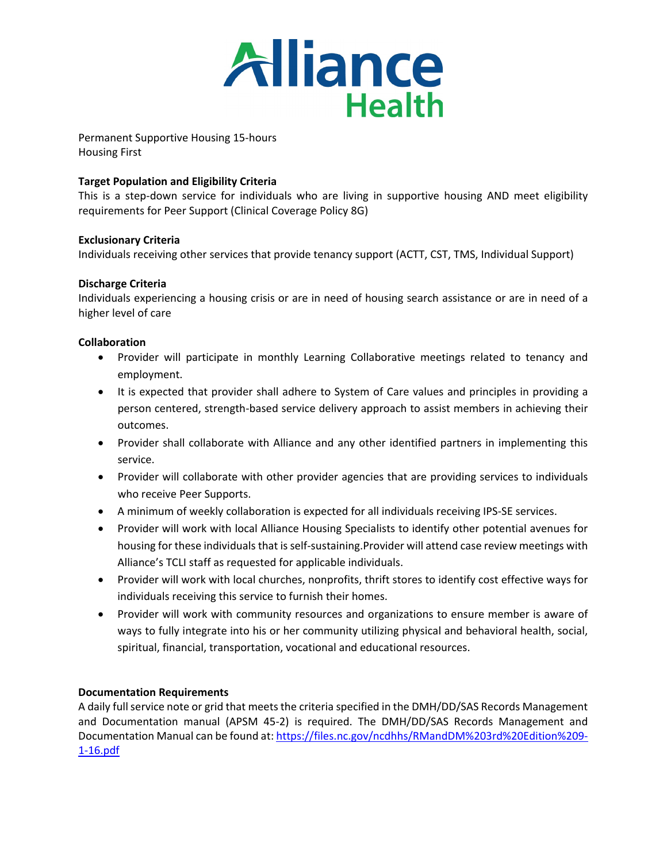

Permanent Supportive Housing 15-hours Housing First

## **Target Population and Eligibility Criteria**

This is a step-down service for individuals who are living in supportive housing AND meet eligibility requirements for Peer Support (Clinical Coverage Policy 8G)

### **Exclusionary Criteria**

Individuals receiving other services that provide tenancy support (ACTT, CST, TMS, Individual Support)

### **Discharge Criteria**

Individuals experiencing a housing crisis or are in need of housing search assistance or are in need of a higher level of care

## **Collaboration**

- Provider will participate in monthly Learning Collaborative meetings related to tenancy and employment.
- It is expected that provider shall adhere to System of Care values and principles in providing a person centered, strength-based service delivery approach to assist members in achieving their outcomes.
- Provider shall collaborate with Alliance and any other identified partners in implementing this service.
- Provider will collaborate with other provider agencies that are providing services to individuals who receive Peer Supports.
- A minimum of weekly collaboration is expected for all individuals receiving IPS-SE services.
- Provider will work with local Alliance Housing Specialists to identify other potential avenues for housing for these individuals that is self-sustaining.Provider will attend case review meetings with Alliance's TCLI staff as requested for applicable individuals.
- Provider will work with local churches, nonprofits, thrift stores to identify cost effective ways for individuals receiving this service to furnish their homes.
- Provider will work with community resources and organizations to ensure member is aware of ways to fully integrate into his or her community utilizing physical and behavioral health, social, spiritual, financial, transportation, vocational and educational resources.

### **Documentation Requirements**

A daily full service note or grid that meets the criteria specified in the DMH/DD/SAS Records Management and Documentation manual (APSM 45-2) is required. The DMH/DD/SAS Records Management and Documentation Manual can be found at[: https://files.nc.gov/ncdhhs/RMandDM%203rd%20Edition%209-](https://files.nc.gov/ncdhhs/RMandDM%203rd%20Edition%209-1-16.pdf) [1-16.pdf](https://files.nc.gov/ncdhhs/RMandDM%203rd%20Edition%209-1-16.pdf)